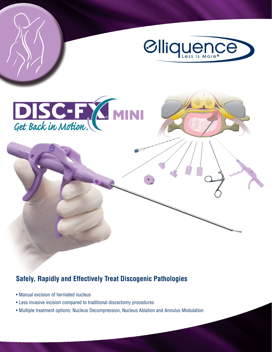

## **Safely, Rapidly and Effectively Treat Discogenic Pathologies**

- Manual excision of herniated nucleus
- Less invasive incision compared to traditional discectomy procedures
- Multiple treatment options: Nucleus Decompression, Nucleus Ablation and Annulus Modulation